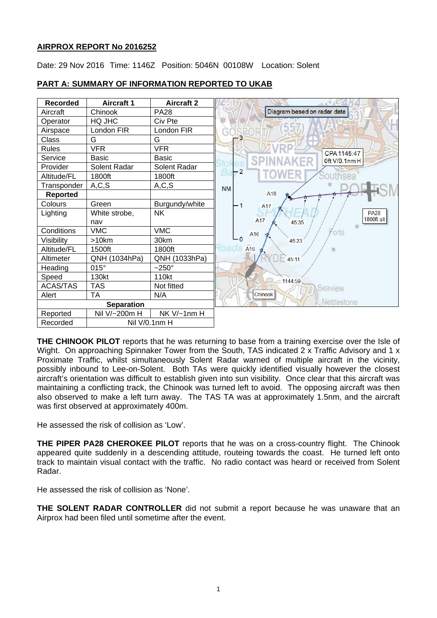# **AIRPROX REPORT No 2016252**

Date: 29 Nov 2016 Time: 1146Z Position: 5046N 00108W Location: Solent



## **PART A: SUMMARY OF INFORMATION REPORTED TO UKAB**

**THE CHINOOK PILOT** reports that he was returning to base from a training exercise over the Isle of Wight. On approaching Spinnaker Tower from the South, TAS indicated 2 x Traffic Advisory and 1 x Proximate Traffic, whilst simultaneously Solent Radar warned of multiple aircraft in the vicinity, possibly inbound to Lee-on-Solent. Both TAs were quickly identified visually however the closest aircraft's orientation was difficult to establish given into sun visibility. Once clear that this aircraft was maintaining a conflicting track, the Chinook was turned left to avoid. The opposing aircraft was then also observed to make a left turn away. The TAS TA was at approximately 1.5nm, and the aircraft was first observed at approximately 400m.

He assessed the risk of collision as 'Low'.

**THE PIPER PA28 CHEROKEE PILOT** reports that he was on a cross-country flight. The Chinook appeared quite suddenly in a descending attitude, routeing towards the coast. He turned left onto track to maintain visual contact with the traffic. No radio contact was heard or received from Solent Radar.

He assessed the risk of collision as 'None'.

**THE SOLENT RADAR CONTROLLER** did not submit a report because he was unaware that an Airprox had been filed until sometime after the event.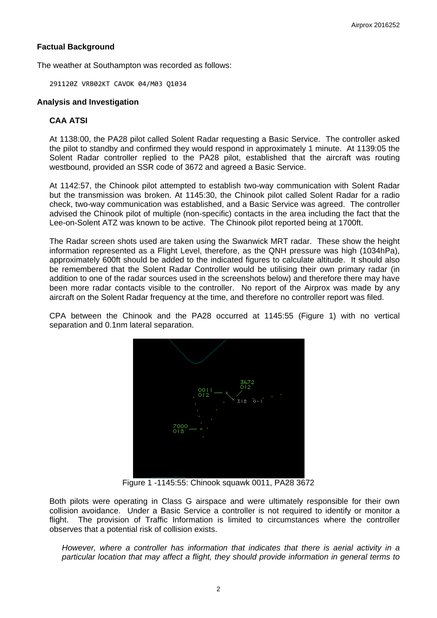# **Factual Background**

The weather at Southampton was recorded as follows:

291120Z VRB02KT CAVOK 04/M03 Q1034

## **Analysis and Investigation**

# **CAA ATSI**

At 1138:00, the PA28 pilot called Solent Radar requesting a Basic Service. The controller asked the pilot to standby and confirmed they would respond in approximately 1 minute. At 1139:05 the Solent Radar controller replied to the PA28 pilot, established that the aircraft was routing westbound, provided an SSR code of 3672 and agreed a Basic Service.

At 1142:57, the Chinook pilot attempted to establish two-way communication with Solent Radar but the transmission was broken. At 1145:30, the Chinook pilot called Solent Radar for a radio check, two-way communication was established, and a Basic Service was agreed. The controller advised the Chinook pilot of multiple (non-specific) contacts in the area including the fact that the Lee-on-Solent ATZ was known to be active. The Chinook pilot reported being at 1700ft.

The Radar screen shots used are taken using the Swanwick MRT radar. These show the height information represented as a Flight Level, therefore, as the QNH pressure was high (1034hPa), approximately 600ft should be added to the indicated figures to calculate altitude. It should also be remembered that the Solent Radar Controller would be utilising their own primary radar (in addition to one of the radar sources used in the screenshots below) and therefore there may have been more radar contacts visible to the controller. No report of the Airprox was made by any aircraft on the Solent Radar frequency at the time, and therefore no controller report was filed.

CPA between the Chinook and the PA28 occurred at 1145:55 (Figure 1) with no vertical separation and 0.1nm lateral separation.



Figure 1 -1145:55: Chinook squawk 0011, PA28 3672

Both pilots were operating in Class G airspace and were ultimately responsible for their own collision avoidance. Under a Basic Service a controller is not required to identify or monitor a flight. The provision of Traffic Information is limited to circumstances where the controller observes that a potential risk of collision exists.

*However, where a controller has information that indicates that there is aerial activity in a particular location that may affect a flight, they should provide information in general terms to*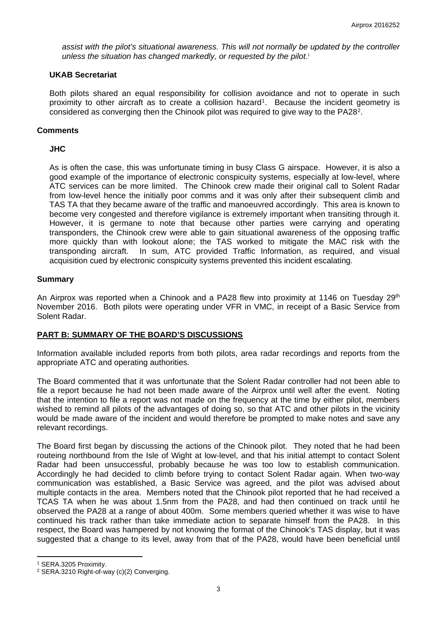*assist with the pilot's situational awareness. This will not normally be updated by the controller*  unless the s[i](#page-4-0)tuation has changed markedly, or requested by the pilot.<sup>i</sup>

#### **UKAB Secretariat**

Both pilots shared an equal responsibility for collision avoidance and not to operate in such proximity to other aircraft as to create a collision hazard<sup>1</sup>. Because the incident geometry is considered as converging then the Chinook pilot was required to give way to the PA28[2](#page-2-1).

#### **Comments**

## **JHC**

As is often the case, this was unfortunate timing in busy Class G airspace. However, it is also a good example of the importance of electronic conspicuity systems, especially at low-level, where ATC services can be more limited. The Chinook crew made their original call to Solent Radar from low-level hence the initially poor comms and it was only after their subsequent climb and TAS TA that they became aware of the traffic and manoeuvred accordingly. This area is known to become very congested and therefore vigilance is extremely important when transiting through it. However, it is germane to note that because other parties were carrying and operating transponders, the Chinook crew were able to gain situational awareness of the opposing traffic more quickly than with lookout alone; the TAS worked to mitigate the MAC risk with the transponding aircraft. In sum, ATC provided Traffic Information, as required, and visual acquisition cued by electronic conspicuity systems prevented this incident escalating.

## **Summary**

An Airprox was reported when a Chinook and a PA28 flew into proximity at 1146 on Tuesday 29<sup>th</sup> November 2016. Both pilots were operating under VFR in VMC, in receipt of a Basic Service from Solent Radar.

## **PART B: SUMMARY OF THE BOARD'S DISCUSSIONS**

Information available included reports from both pilots, area radar recordings and reports from the appropriate ATC and operating authorities.

The Board commented that it was unfortunate that the Solent Radar controller had not been able to file a report because he had not been made aware of the Airprox until well after the event. Noting that the intention to file a report was not made on the frequency at the time by either pilot, members wished to remind all pilots of the advantages of doing so, so that ATC and other pilots in the vicinity would be made aware of the incident and would therefore be prompted to make notes and save any relevant recordings.

The Board first began by discussing the actions of the Chinook pilot. They noted that he had been routeing northbound from the Isle of Wight at low-level, and that his initial attempt to contact Solent Radar had been unsuccessful, probably because he was too low to establish communication. Accordingly he had decided to climb before trying to contact Solent Radar again. When two-way communication was established, a Basic Service was agreed, and the pilot was advised about multiple contacts in the area. Members noted that the Chinook pilot reported that he had received a TCAS TA when he was about 1.5nm from the PA28, and had then continued on track until he observed the PA28 at a range of about 400m. Some members queried whether it was wise to have continued his track rather than take immediate action to separate himself from the PA28. In this respect, the Board was hampered by not knowing the format of the Chinook's TAS display, but it was suggested that a change to its level, away from that of the PA28, would have been beneficial until

 $\overline{a}$ 

<span id="page-2-0"></span><sup>1</sup> SERA.3205 Proximity.

<span id="page-2-1"></span><sup>2</sup> SERA.3210 Right-of-way (c)(2) Converging.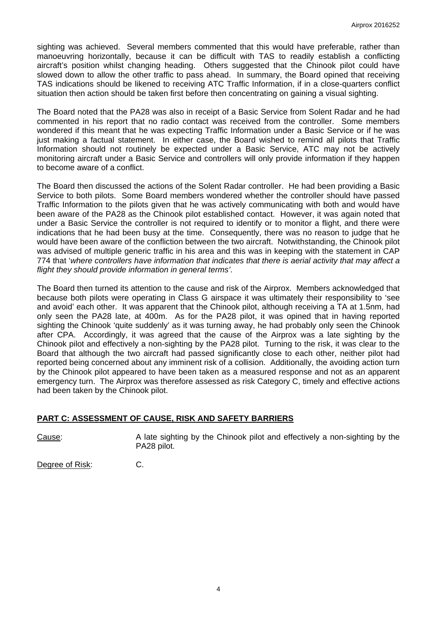sighting was achieved. Several members commented that this would have preferable, rather than manoeuvring horizontally, because it can be difficult with TAS to readily establish a conflicting aircraft's position whilst changing heading. Others suggested that the Chinook pilot could have slowed down to allow the other traffic to pass ahead. In summary, the Board opined that receiving TAS indications should be likened to receiving ATC Traffic Information, if in a close-quarters conflict situation then action should be taken first before then concentrating on gaining a visual sighting.

The Board noted that the PA28 was also in receipt of a Basic Service from Solent Radar and he had commented in his report that no radio contact was received from the controller. Some members wondered if this meant that he was expecting Traffic Information under a Basic Service or if he was just making a factual statement. In either case, the Board wished to remind all pilots that Traffic Information should not routinely be expected under a Basic Service, ATC may not be actively monitoring aircraft under a Basic Service and controllers will only provide information if they happen to become aware of a conflict.

The Board then discussed the actions of the Solent Radar controller. He had been providing a Basic Service to both pilots. Some Board members wondered whether the controller should have passed Traffic Information to the pilots given that he was actively communicating with both and would have been aware of the PA28 as the Chinook pilot established contact. However, it was again noted that under a Basic Service the controller is not required to identify or to monitor a flight, and there were indications that he had been busy at the time. Consequently, there was no reason to judge that he would have been aware of the confliction between the two aircraft. Notwithstanding, the Chinook pilot was advised of multiple generic traffic in his area and this was in keeping with the statement in CAP 774 that '*where controllers have information that indicates that there is aerial activity that may affect a flight they should provide information in general terms'*.

The Board then turned its attention to the cause and risk of the Airprox. Members acknowledged that because both pilots were operating in Class G airspace it was ultimately their responsibility to 'see and avoid' each other. It was apparent that the Chinook pilot, although receiving a TA at 1.5nm, had only seen the PA28 late, at 400m. As for the PA28 pilot, it was opined that in having reported sighting the Chinook 'quite suddenly' as it was turning away, he had probably only seen the Chinook after CPA. Accordingly, it was agreed that the cause of the Airprox was a late sighting by the Chinook pilot and effectively a non-sighting by the PA28 pilot. Turning to the risk, it was clear to the Board that although the two aircraft had passed significantly close to each other, neither pilot had reported being concerned about any imminent risk of a collision. Additionally, the avoiding action turn by the Chinook pilot appeared to have been taken as a measured response and not as an apparent emergency turn. The Airprox was therefore assessed as risk Category C, timely and effective actions had been taken by the Chinook pilot.

## **PART C: ASSESSMENT OF CAUSE, RISK AND SAFETY BARRIERS**

Cause: A late sighting by the Chinook pilot and effectively a non-sighting by the PA28 pilot.

Degree of Risk: C.